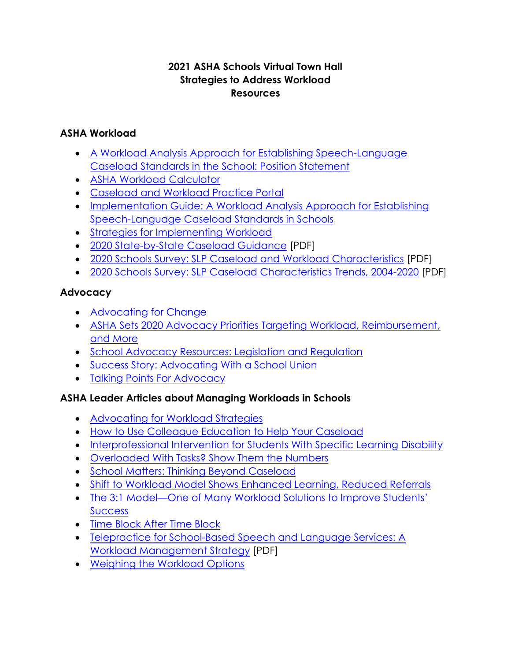## **2021 ASHA Schools Virtual Town Hall Strategies to Address Workload Resources**

## **ASHA Workload**

- [A Workload Analysis Approach for Establishing Speech-Language](https://www.asha.org/policy/ps2002-00122/) [Caseload Standards in the School: Position Statement](https://www.asha.org/policy/ps2002-00122/)
- [ASHA Workload Calculator](https://www.asha.org/slp/schools/workload-calculator/)
- [Caseload and Workload Practice Portal](https://www.asha.org/practice-portal/professional-issues/caseload-and-workload/)
- [Implementation Guide: A Workload Analysis Approach for Establishing](https://www.asha.org/slp/schools/implementation-guide/) [Speech-Language Caseload Standards in Schools](https://www.asha.org/slp/schools/implementation-guide/)
- [Strategies for Implementing Workload](https://www.asha.org/slp/schools/strategies-for-implementing-workload/)
- [2020 State-by-State Caseload Guidance](https://www.asha.org/siteassets/practice-portal/caseloadworkload/state-caseload-chart.pdf) [PDF]
- [2020 Schools Survey: SLP Caseload and Workload Characteristics](https://www.asha.org/siteassets/surveys/2020-schools-survey-slp-caseload.pdf) [PDF]
- [2020 Schools Survey: SLP Caseload Characteristics Trends, 2004-2020](https://www.asha.org/siteassets/surveys/2020-schools-survey-caseload-characteristics-trends.pdf) [PDF]

## **Advocacy**

- [Advocating for Change](https://www.asha.org/practice-portal/professional-issues/caseload-and-workload/advocating-for-change/)
- [ASHA Sets 2020 Advocacy Priorities Targeting Workload, Reimbursement,](https://leader.pubs.asha.org/doi/10.1044/leader.an10.25032020.65) [and More](https://leader.pubs.asha.org/doi/10.1044/leader.an10.25032020.65)
- [School Advocacy Resources: Legislation and Regulation](https://www.asha.org/slp/schools/schools_resources_advocacy/)
- [Success Story: Advocating With a School Union](https://www.asha.org/slp/schools/salaries/success-bellini/)
- [Talking Points For Advocacy](https://www.asha.org/slp/schools/salaries/talk-points/)

# **ASHA Leader Articles about Managing Workloads in Schools**

- [Advocating for Workload Strategies](https://leader.pubs.asha.org/doi/10.1044/leader.SCM2.09122004.1)
- [How to Use Colleague Education to Help Your Caseload](https://leader.pubs.asha.org/doi/10.1044/leader.scm.24082019.38)
- [Interprofessional Intervention for Students With Specific Learning Disability](https://leader.pubs.asha.org/doi/10.1044/leader.scm.24112019.36)
- [Overloaded With Tasks? Show Them the Numbers](https://leader.pubs.asha.org/doi/10.1044/leader.ftr2.24082019.56)
- [School Matters: Thinking Beyond Caseload](https://leader.pubs.asha.org/doi/10.1044/leader.SCM.18082013.28)
- [Shift to Workload Model Shows Enhanced Learning, Reduced Referrals](https://leader.pubs.asha.org/do/10.1044/leader.SCM.25082020.36/full/)
- The 3:1 Model[—One of Many Workload Solutions to Improve Students'](https://leader.pubs.asha.org/doi/10.1044/leader.SCM.24052019.36) **[Success](https://leader.pubs.asha.org/doi/10.1044/leader.SCM.24052019.36)**
- [Time Block After Time Block](https://leader.pubs.asha.org/doi/10.1044/leader.FTR2.18082013.40)
- [Telepractice for School-Based Speech and Language Services: A](https://pubs.asha.org/doi/pdf/10.1044/2018_PERS-SIG18-2018-0004) [Workload Management Strategy](https://pubs.asha.org/doi/pdf/10.1044/2018_PERS-SIG18-2018-0004) [PDF]
- [Weighing the Workload Options](https://leader.pubs.asha.org/doi/10.1044/leader.scm.23072018.34)